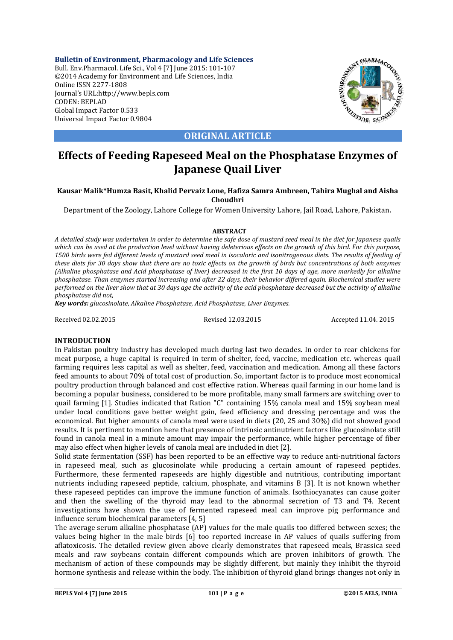**Bulletin of Environment, Pharmacology and Life Sciences** Bull. Env.Pharmacol. Life Sci., Vol 4 [7] June 2015: 101-107 ©2014 Academy for Environment and Life Sciences, India Online ISSN 2277-1808 Journal's URL:http://www.bepls.com CODEN: BEPLAD Global Impact Factor 0.533 Universal Impact Factor 0.9804



**ORIGINAL ARTICLE**

# **Effects of Feeding Rapeseed Meal on the Phosphatase Enzymes of Japanese Quail Liver**

# **Kausar Malik\*Humza Basit, Khalid Pervaiz Lone, Hafiza Samra Ambreen, Tahira Mughal and Aisha Choudhri**

Department of the Zoology, Lahore College for Women University Lahore, Jail Road, Lahore, Pakistan.

## **ABSTRACT**

*A detailed study was undertaken in order to determine the safe dose of mustard seed meal in the diet for Japanese quails which can be used at the production level without having deleterious effects on the growth of this bird. For this purpose,*  1500 birds were fed different levels of mustard seed meal in isocaloric and isonitrogenous diets. The results of feeding of *these diets for 30 days show that there are no toxic effects on the growth of birds but concentrations of both enzymes (Alkaline phosphatase and Acid phosphatase of liver) decreased in the first 10 days of age, more markedly for alkaline phosphatase. Than enzymes started increasing and after 22 days, their behavior differed again. Biochemical studies were performed on the liver show that at 30 days age the activity of the acid phosphatase decreased but the activity of alkaline phosphatase did not,*

*Key words: glucosinolate, Alkaline Phosphatase, Acid Phosphatase, Liver Enzymes.*

Received 02.02.2015 Revised 12.03.2015 Accepted 11.04. 2015

## **INTRODUCTION**

In Pakistan poultry industry has developed much during last two decades. In order to rear chickens for meat purpose, a huge capital is required in term of shelter, feed, vaccine, medication etc. whereas quail farming requires less capital as well as shelter, feed, vaccination and medication. Among all these factors feed amounts to about 70% of total cost of production. So, important factor is to produce most economical poultry production through balanced and cost effective ration. Whereas quail farming in our home land is becoming a popular business, considered to be more profitable, many small farmers are switching over to quail farming [1]. Studies indicated that Ration "C" containing 15% canola meal and 15% soybean meal under local conditions gave better weight gain, feed efficiency and dressing percentage and was the economical. But higher amounts of canola meal were used in diets (20, 25 and 30%) did not showed good results. It is pertinent to mention here that presence of intrinsic antinutrient factors like glucosinolate still found in canola meal in a minute amount may impair the performance, while higher percentage of fiber may also effect when higher levels of canola meal are included in diet [2].

Solid state fermentation (SSF) has been reported to be an effective way to reduce anti-nutritional factors in rapeseed meal, such as glucosinolate while producing a certain amount of rapeseed peptides. Furthermore, these fermented rapeseeds are highly digestible and nutritious, contributing important nutrients including rapeseed peptide, calcium, phosphate, and vitamins B [3]. It is not known whether these rapeseed peptides can improve the immune function of animals. Isothiocyanates can cause goiter and then the swelling of the thyroid may lead to the abnormal secretion of T3 and T4. Recent investigations have shown the use of fermented rapeseed meal can improve pig performance and influence serum biochemical parameters [4, 5]

The average serum alkaline phosphatase (AP) values for the male quails too differed between sexes; the values being higher in the male birds [6] too reported increase in AP values of quails suffering from aflatoxicosis. The detailed review given above clearly demonstrates that rapeseed meals, Brassica seed meals and raw soybeans contain different compounds which are proven inhibitors of growth. The mechanism of action of these compounds may be slightly different, but mainly they inhibit the thyroid hormone synthesis and release within the body. The inhibition of thyroid gland brings changes not only in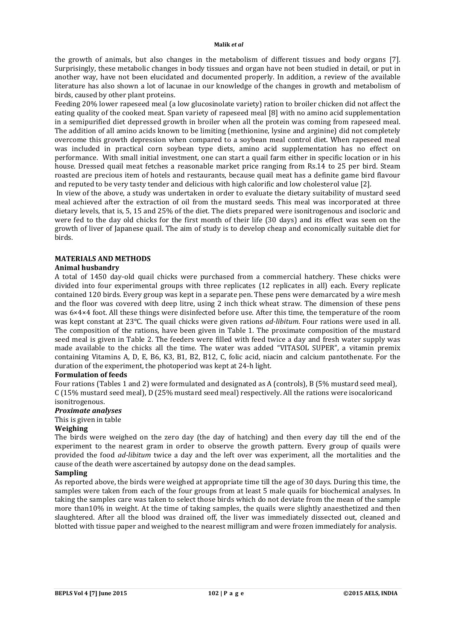the growth of animals, but also changes in the metabolism of different tissues and body organs [7]. Surprisingly, these metabolic changes in body tissues and organ have not been studied in detail, or put in another way, have not been elucidated and documented properly. In addition, a review of the available literature has also shown a lot of lacunae in our knowledge of the changes in growth and metabolism of birds, caused by other plant proteins.

Feeding 20% lower rapeseed meal (a low glucosinolate variety) ration to broiler chicken did not affect the eating quality of the cooked meat. Span variety of rapeseed meal [8] with no amino acid supplementation in a semipurified diet depressed growth in broiler when all the protein was coming from rapeseed meal. The addition of all amino acids known to be limiting (methionine, lysine and arginine) did not completely overcome this growth depression when compared to a soybean meal control diet. When rapeseed meal was included in practical corn soybean type diets, amino acid supplementation has no effect on performance. With small initial investment, one can start a quail farm either in specific location or in his house. Dressed quail meat fetches a reasonable market price ranging from Rs.14 to 25 per bird. Steam roasted are precious item of hotels and restaurants, because quail meat has a definite game bird flavour and reputed to be very tasty tender and delicious with high calorific and low cholesterol value [2].

In view of the above, a study was undertaken in order to evaluate the dietary suitability of mustard seed meal achieved after the extraction of oil from the mustard seeds. This meal was incorporated at three dietary levels, that is, 5, 15 and 25% of the diet. The diets prepared were isonitrogenous and isocloric and were fed to the day old chicks for the first month of their life (30 days) and its effect was seen on the growth of liver of Japanese quail. The aim of study is to develop cheap and economically suitable diet for birds.

# **MATERIALS AND METHODS**

## **Animal husbandry**

A total of 1450 day-old quail chicks were purchased from a commercial hatchery. These chicks were divided into four experimental groups with three replicates (12 replicates in all) each. Every replicate contained 120 birds. Every group was kept in a separate pen. These pens were demarcated by a wire mesh and the floor was covered with deep litre, using 2 inch thick wheat straw. The dimension of these pens was 6×4×4 foot. All these things were disinfected before use. After this time, the temperature of the room was kept constant at 23°C. The quail chicks were given rations *ad-libitum*. Four rations were used in all. The composition of the rations, have been given in Table 1. The proximate composition of the mustard seed meal is given in Table 2. The feeders were filled with feed twice a day and fresh water supply was made available to the chicks all the time. The water was added "VITASOL SUPER", a vitamin premix containing Vitamins A, D, E, B6, K3, B1, B2, B12, C, folic acid, niacin and calcium pantothenate. For the duration of the experiment, the photoperiod was kept at 24-h light.

# **Formulation of feeds**

Four rations (Tables 1 and 2) were formulated and designated as A (controls), B (5% mustard seed meal), C (15% mustard seed meal), D (25% mustard seed meal) respectively. All the rations were isocaloricand isonitrogenous.

## *Proximate analyses*

This is given in table

## **Weighing**

The birds were weighed on the zero day (the day of hatching) and then every day till the end of the experiment to the nearest gram in order to observe the growth pattern. Every group of quails were provided the food *ad-libitum* twice a day and the left over was experiment, all the mortalities and the cause of the death were ascertained by autopsy done on the dead samples.

## **Sampling**

As reported above, the birds were weighed at appropriate time till the age of 30 days. During this time, the samples were taken from each of the four groups from at least 5 male quails for biochemical analyses. In taking the samples care was taken to select those birds which do not deviate from the mean of the sample more than10% in weight. At the time of taking samples, the quails were slightly anaesthetized and then slaughtered. After all the blood was drained off, the liver was immediately dissected out, cleaned and blotted with tissue paper and weighed to the nearest milligram and were frozen immediately for analysis.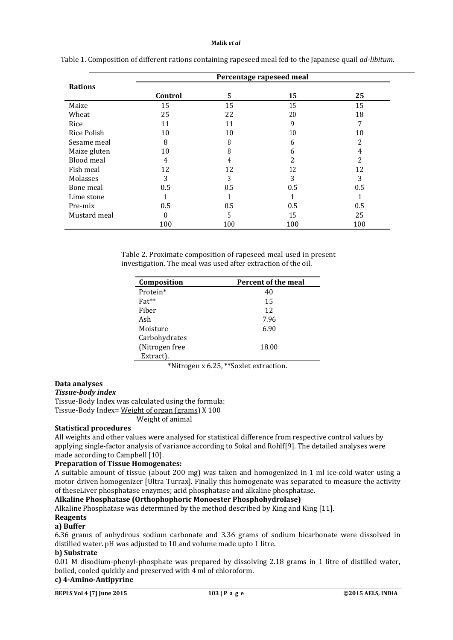|                    |         |     | Percentage rapeseed meal |     |
|--------------------|---------|-----|--------------------------|-----|
| <b>Rations</b>     |         |     |                          |     |
|                    | Control | 5   | 15                       | 25  |
| Maize              | 15      | 15  | 15                       | 15  |
| Wheat              | 25      | 22  | 20                       | 18  |
| Rice               | 11      | 11  | 9                        | 7   |
| <b>Rice Polish</b> | 10      | 10  | 10                       | 10  |
| Sesame meal        | 8       | 8   | 6                        | 2   |
| Maize gluten       | 10      | 8   | 6                        | 4   |
| Blood meal         | 4       | 4   | 2                        | 2   |
| Fish meal          | 12      | 12  | 12                       | 12  |
| Molasses           | 3       | 3   | 3                        | 3   |
| Bone meal          | 0.5     | 0.5 | 0.5                      | 0.5 |
| Lime stone         |         |     |                          |     |
| Pre-mix            | 0.5     | 0.5 | 0.5                      | 0.5 |
| Mustard meal       | 0       | 5   | 15                       | 25  |
|                    | 100     | 100 | 100                      | 100 |

|  | Table 1. Composition of different rations containing rapeseed meal fed to the Japanese quail ad-libitum. |
|--|----------------------------------------------------------------------------------------------------------|
|  |                                                                                                          |

Table 2. Proximate composition of rapeseed meal used in present investigation. The meal was used after extraction of the oil.

| Composition    | <b>Percent of the meal</b> |
|----------------|----------------------------|
| Protein*       | 40                         |
| Fat**          | 15                         |
| Fiber          | 12                         |
| Ash            | 7.96                       |
| Moisture       | 6.90                       |
| Carbohydrates  |                            |
| (Nitrogen free | 18.00                      |
| Extract).      |                            |

\*Nitrogen x 6.25, \*\*Soxlet extraction.

# **Data analyses**

*Tissue-body index*

Tissue-Body Index was calculated using the formula: Tissue-Body Index= Weight of organ (grams) X 100

Weight of animal

## **Statistical procedures**

All weights and other values were analysed for statistical difference from respective control values by applying single-factor analysis of variance according to Sokal and Rohlf[9]. The detailed analyses were made according to Campbell [10].

# **Preparation of Tissue Homogenates:**

A suitable amount of tissue (about 200 mg) was taken and homogenized in 1 ml ice-cold water using a motor driven homogenizer [Ultra Turrax]. Finally this homogenate was separated to measure the activity of theseLiver phosphatase enzymes; acid phosphatase and alkaline phosphatase.

## **Alkaline Phosphatase (Orthophophoric Monoester Phosphohydrolase)**

Alkaline Phosphatase was determined by the method described by King and King [11].

# **Reagents**

## **a) Buffer**

6.36 grams of anhydrous sodium carbonate and 3.36 grams of sodium bicarbonate were dissolved in distilled water. pH was adjusted to 10 and volume made upto 1 litre.

# **b) Substrate**

0.01 M disodium-phenyl-phosphate was prepared by dissolving 2.18 grams in 1 litre of distilled water, boiled, cooled quickly and preserved with 4 ml of chloroform.

# **c) 4-Amino-Antipyrine**

**BEPLS Vol 4 [7] June 2015 103 | P a g e ©2015 AELS, INDIA**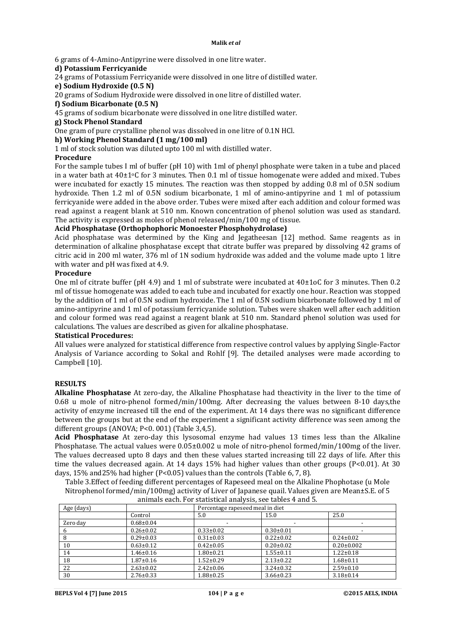6 grams of 4-Amino-Antipyrine were dissolved in one litre water.

# **d) Potassium Ferricyanide**

24 grams of Potassium Ferricyanide were dissolved in one litre of distilled water.

**e) Sodium Hydroxide (0.5 N)**

20 grams of Sodium Hydroxide were dissolved in one litre of distilled water.

**f) Sodium Bicarbonate (0.5 N)**

45 grams of sodium bicarbonate were dissolved in one litre distilled water.

# **g) Stock Phenol Standard**

One gram of pure crystalline phenol was dissolved in one litre of 0.1N HCl.

# **h) Working Phenol Standard (1 mg/100 ml)**

1 ml of stock solution was diluted upto 100 ml with distilled water.

# **Procedure**

For the sample tubes I ml of buffer (pH 10) with 1ml of phenyl phosphate were taken in a tube and placed in a water bath at  $40\pm1\degree$ C for 3 minutes. Then 0.1 ml of tissue homogenate were added and mixed. Tubes were incubated for exactly 15 minutes. The reaction was then stopped by adding 0.8 ml of 0.5N sodium hydroxide. Then 1.2 ml of 0.5N sodium bicarbonate, 1 ml of amino-antipyrine and 1 ml of potassium ferricyanide were added in the above order. Tubes were mixed after each addition and colour formed was read against a reagent blank at 510 nm. Known concentration of phenol solution was used as standard. The activity is expressed as moles of phenol released/min/100 mg of tissue.

# **Acid Phosphatase (Orthophophoric Monoester Phosphohydrolase)**

Acid phosphatase was determined by the King and Jegatheesan [12] method. Same reagents as in determination of alkaline phosphatase except that citrate buffer was prepared by dissolving 42 grams of citric acid in 200 ml water, 376 ml of 1N sodium hydroxide was added and the volume made upto 1 litre with water and pH was fixed at 4.9.

# **Procedure**

One ml of citrate buffer (pH 4.9) and 1 ml of substrate were incubated at 40±1oC for 3 minutes. Then 0.2 ml of tissue homogenate was added to each tube and incubated for exactly one hour. Reaction was stopped by the addition of 1 ml of 0.5N sodium hydroxide. The 1 ml of 0.5N sodium bicarbonate followed by 1 ml of amino-antipyrine and 1 ml of potassium ferricyanide solution. Tubes were shaken well after each addition and colour formed was read against a reagent blank at 510 nm. Standard phenol solution was used for calculations. The values are described as given for alkaline phosphatase.

# **Statistical Procedures:**

All values were analyzed for statistical difference from respective control values by applying Single-Factor Analysis of Variance according to Sokal and Rohlf [9]. The detailed analyses were made according to Campbell [10].

# **RESULTS**

**Alkaline Phosphatase** At zero-day, the Alkaline Phosphatase had theactivity in the liver to the time of 0.68 u mole of nitro-phenol formed/min/100mg. After decreasing the values between 8-10 days,the activity of enzyme increased till the end of the experiment. At 14 days there was no significant difference between the groups but at the end of the experiment a significant activity difference was seen among the different groups (ANOVA; P<0. 001) (Table 3,4,5).

**Acid Phosphatase** At zero-day this lysosomal enzyme had values 13 times less than the Alkaline Phosphatase. The actual values were 0.05±0.002 u mole of nitro-phenol formed/min/100mg of the liver. The values decreased upto 8 days and then these values started increasing till 22 days of life. After this time the values decreased again. At 14 days 15% had higher values than other groups (P<0.01). At 30 days, 15% and25% had higher (P<0.05) values than the controls (Table 6, 7, 8).

Table 3.Effect of feeding different percentages of Rapeseed meal on the Alkaline Phophotase (u Mole Nitrophenol formed/min/100mg) activity of Liver of Japanese quail. Values given are Mean±S.E. of 5 animals each. For statistical analysis, see tables 4 and 5.

| Age (days) |                 | Percentage rapeseed meal in diet |                 |                  |
|------------|-----------------|----------------------------------|-----------------|------------------|
|            | Control         | 5.0                              | 15.0            | 25.0             |
| Zero dav   | $0.68 \pm 0.04$ |                                  |                 |                  |
|            | $0.26 \pm 0.02$ | $0.33 \pm 0.02$                  | $0.30 \pm 0.01$ |                  |
| 8          | $0.29 \pm 0.03$ | $0.31 \pm 0.03$                  | $0.22 \pm 0.02$ | $0.24 \pm 0.02$  |
| 10         | $0.63 \pm 0.12$ | $0.42 \pm 0.05$                  | $0.20 \pm 0.02$ | $0.20 \pm 0.002$ |
| 14         | 1.46±0.16       | $1.80 \pm 0.21$                  | $1.55 \pm 0.11$ | $1.22 \pm 0.18$  |
| 18         | $1.87 \pm 0.16$ | $1.52 \pm 0.29$                  | $2.13 \pm 0.22$ | $1.68 + 0.11$    |
| 22         | $2.63 \pm 0.02$ | $2.42 \pm 0.06$                  | $3.24 \pm 0.32$ | $2.59 \pm 0.10$  |
| 30         | $2.76 \pm 0.33$ | $1.88 \pm 0.25$                  | $3.66 \pm 0.23$ | $3.18 \pm 0.14$  |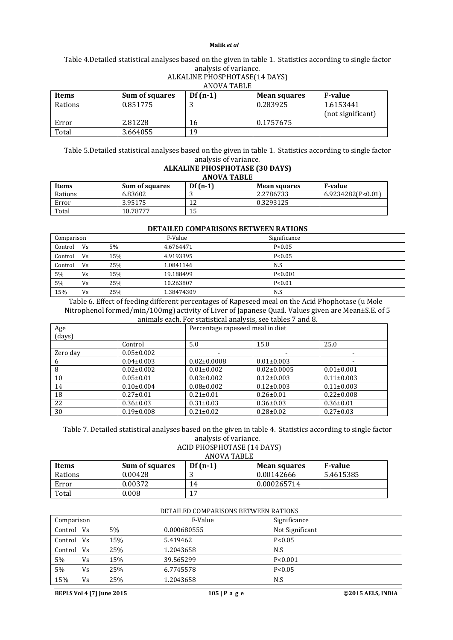# Table 4.Detailed statistical analyses based on the given in table 1. Statistics according to single factor analysis of variance.

| ANOVA TABLE |                |           |                     |                   |
|-------------|----------------|-----------|---------------------|-------------------|
| Items       | Sum of squares | $Df(n-1)$ | <b>Mean squares</b> | <b>F-value</b>    |
| Rations     | 0.851775       | . .       | 0.283925            | 1.6153441         |
|             |                |           |                     | (not significant) |
| Error       | 2.81228        | 16        | 0.1757675           |                   |
| Total       | 3.664055       | 19        |                     |                   |

ALKALINE PHOSPHOTASE(14 DAYS)

#### Table 5.Detailed statistical analyses based on the given in table 1. Statistics according to single factor analysis of variance.

#### **ALKALINE PHOSPHOTASE (30 DAYS) ANOVA TABLE**

| <b>Items</b> | Sum of squares | $Df(n-1)$ | <b>Mean squares</b> | <b>F-value</b>    |
|--------------|----------------|-----------|---------------------|-------------------|
| Rations      | 6.83602        |           | 2.2786733           | 6.9234282(P<0.01) |
| Error        | 3.95175        | ∸         | 0.3293125           |                   |
| Total        | 10.78777       | ⊥J        |                     |                   |

## **DETAILED COMPARISONS BETWEEN RATIONS**

| Comparison |    |     | F-Value    | Significance |  |
|------------|----|-----|------------|--------------|--|
| Control    | Vs | 5%  | 4.6764471  | P < 0.05     |  |
| Control    | Vs | 15% | 4.9193395  | P < 0.05     |  |
| Control    | Vs | 25% | 1.0841146  | N.S          |  |
| 5%         | Vs | 15% | 19.188499  | P < 0.001    |  |
| 5%         | Vs | 25% | 10.263807  | P < 0.01     |  |
| 15%        | Vs | 25% | 1.38474309 | N.S          |  |

Table 6. Effect of feeding different percentages of Rapeseed meal on the Acid Phophotase (u Mole Nitrophenol formed/min/100mg) activity of Liver of Japanese Quail. Values given are Mean±S.E. of 5 animals each. For statistical analysis, see tables 7 and 8.

|          | allilliais each. Fur statistical allalysis, see tables 7 ally 0. |                                  |                   |                  |
|----------|------------------------------------------------------------------|----------------------------------|-------------------|------------------|
| Age      |                                                                  | Percentage rapeseed meal in diet |                   |                  |
| (days)   |                                                                  |                                  |                   |                  |
|          | Control                                                          | 5.0                              | 15.0              | 25.0             |
| Zero day | $0.05 \pm 0.002$                                                 |                                  |                   |                  |
| 6        | $0.04 \pm 0.003$                                                 | $0.02 \pm 0.0008$                | $0.01 \pm 0.003$  |                  |
| 8        | $0.02 \pm 0.002$                                                 | $0.01 \pm 0.002$                 | $0.02 \pm 0.0005$ | $0.01 \pm 0.001$ |
| 10       | $0.05 \pm 0.01$                                                  | $0.03 \pm 0.002$                 | $0.12 \pm 0.003$  | $0.11 \pm 0.003$ |
| 14       | $0.10\pm0.004$                                                   | $0.08 \pm 0.002$                 | $0.12 \pm 0.003$  | $0.11 \pm 0.003$ |
| 18       | $0.27 \pm 0.01$                                                  | $0.21 \pm 0.01$                  | $0.26 \pm 0.01$   | $0.22 \pm 0.008$ |
| 22       | $0.36 \pm 0.03$                                                  | $0.31 \pm 0.03$                  | $0.36 \pm 0.03$   | $0.36 \pm 0.01$  |
| 30       | $0.19 \pm 0.008$                                                 | $0.21 \pm 0.02$                  | $0.28 \pm 0.02$   | $0.27 \pm 0.03$  |

Table 7. Detailed statistical analyses based on the given in table 4. Statistics according to single factor analysis of variance.

## ACID PHOSPHOTASE (14 DAYS)

ANOVA TABLE

| Items   | <b>Sum of squares</b> | $Df(n-1)$        | <b>Mean squares</b> | <b>F-value</b> |
|---------|-----------------------|------------------|---------------------|----------------|
| Rations | 0.00428               |                  | 0.00142666          | 5.4615385      |
| Error   | 0.00372               | 14               | 0.000265714         |                |
| Total   | 0.008                 | . <del>. .</del> |                     |                |

|            | DETAILED COMPARISONS BETWEEN RATIONS |     |             |                 |  |  |  |
|------------|--------------------------------------|-----|-------------|-----------------|--|--|--|
| Comparison |                                      |     | F-Value     | Significance    |  |  |  |
| Control Vs |                                      | 5%  | 0.000680555 | Not Significant |  |  |  |
| Control Vs |                                      | 15% | 5.419462    | P < 0.05        |  |  |  |
| Control Vs |                                      | 25% | 1.2043658   | N.S             |  |  |  |
| 5%         | Vs                                   | 15% | 39.565299   | P < 0.001       |  |  |  |
| 5%         | Vs                                   | 25% | 6.7745578   | P < 0.05        |  |  |  |
| 15%        | Vs                                   | 25% | 1.2043658   | N.S             |  |  |  |

**BEPLS Vol 4 [7] June 2015 105 | P a g e ©2015 AELS, INDIA**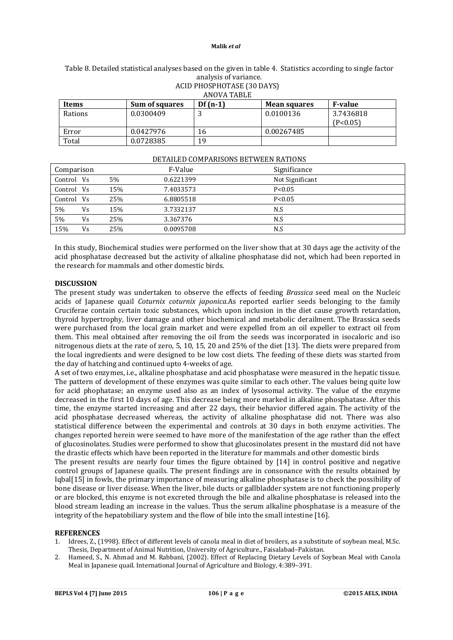| ALID PHOSPHOTASE (30 DAYS)<br>ANOVA TABLE                                     |           |    |            |                       |  |
|-------------------------------------------------------------------------------|-----------|----|------------|-----------------------|--|
| $Df(n-1)$<br><b>F-value</b><br>Sum of squares<br>Items<br><b>Mean squares</b> |           |    |            |                       |  |
| Rations                                                                       | 0.0300409 | J  | 0.0100136  | 3.7436818<br>(P<0.05) |  |
| Error                                                                         | 0.0427976 | 16 | 0.00267485 |                       |  |
| Total                                                                         | 0.0728385 | 19 |            |                       |  |

# Table 8. Detailed statistical analyses based on the given in table 4. Statistics according to single factor analysis of variance. ACID PHOSPHOTASE (30 DAYS)

|            |    |     | DETAILED GOMITANISONS DET WEEN IVATIONS |                 |
|------------|----|-----|-----------------------------------------|-----------------|
| Comparison |    |     | F-Value                                 | Significance    |
| Control Vs |    | 5%  | 0.6221399                               | Not Significant |
| Control Vs |    | 15% | 7.4033573                               | P < 0.05        |
| Control Vs |    | 25% | 6.8805518                               | P < 0.05        |
| 5%         | Vs | 15% | 3.7332137                               | N.S             |
| 5%         | Vs | 25% | 3.367376                                | N.S             |
| 15%        | Vs | 25% | 0.0095708                               | N.S             |

## DETAILED COMPARISONS BETWEEN RATIONS

In this study, Biochemical studies were performed on the liver show that at 30 days age the activity of the acid phosphatase decreased but the activity of alkaline phosphatase did not, which had been reported in the research for mammals and other domestic birds.

# **DISCUSSION**

The present study was undertaken to observe the effects of feeding *Brassica* seed meal on the Nucleic acids of Japanese quail *Coturnix coturnix japonica.*As reported earlier seeds belonging to the family Cruciferae contain certain toxic substances, which upon inclusion in the diet cause growth retardation, thyroid hypertrophy, liver damage and other biochemical and metabolic derailment. The Brassica seeds were purchased from the local grain market and were expelled from an oil expeller to extract oil from them. This meal obtained after removing the oil from the seeds was incorporated in isocaloric and iso nitrogenous diets at the rate of zero, 5, 10, 15, 20 and 25% of the diet [13]. The diets were prepared from the local ingredients and were designed to be low cost diets. The feeding of these diets was started from the day of hatching and continued upto 4-weeks of age.

A set of two enzymes, i.e., alkaline phosphatase and acid phosphatase were measured in the hepatic tissue. The pattern of development of these enzymes was quite similar to each other. The values being quite low for acid phophatase; an enzyme used also as an index of lysosomal activity. The value of the enzyme decreased in the first 10 days of age. This decrease being more marked in alkaline phosphatase. After this time, the enzyme started increasing and after 22 days, their behavior differed again. The activity of the acid phosphatase decreased whereas, the activity of alkaline phosphatase did not. There was also statistical difference between the experimental and controls at 30 days in both enzyme activities. The changes reported herein were seemed to have more of the manifestation of the age rather than the effect of glucosinolates. Studies were performed to show that glucosinolates present in the mustard did not have the drastic effects which have been reported in the literature for mammals and other domestic birds

The present results are nearly four times the figure obtained by [14] in control positive and negative control groups of Japanese quails. The present findings are in consonance with the results obtained by Iqbal[15] in fowls, the primary importance of measuring alkaline phosphatase is to check the possibility of bone disease or liver disease. When the liver, bile ducts or gallbladder system are not functioning properly or are blocked, this enzyme is not excreted through the bile and alkaline phosphatase is released into the blood stream leading an increase in the values. Thus the serum alkaline phosphatase is a measure of the integrity of the hepatobiliary system and the flow of bile into the small intestine [16].

## **REFERENCES**

- 1. Idrees, Z., (1998). Effect of different levels of canola meal in diet of broilers, as a substitute of soybean meal, M.Sc. Thesis, Department of Animal Nutrition, University of Agriculture., Faisalabad–Pakistan.
- 2. Hameed, S., N. Ahmad and M. Rabbani, (2002). Effect of Replacing Dietary Levels of Soybean Meal with Canola Meal in Japanese quail. International Journal of Agriculture and Biology, 4:389–391.